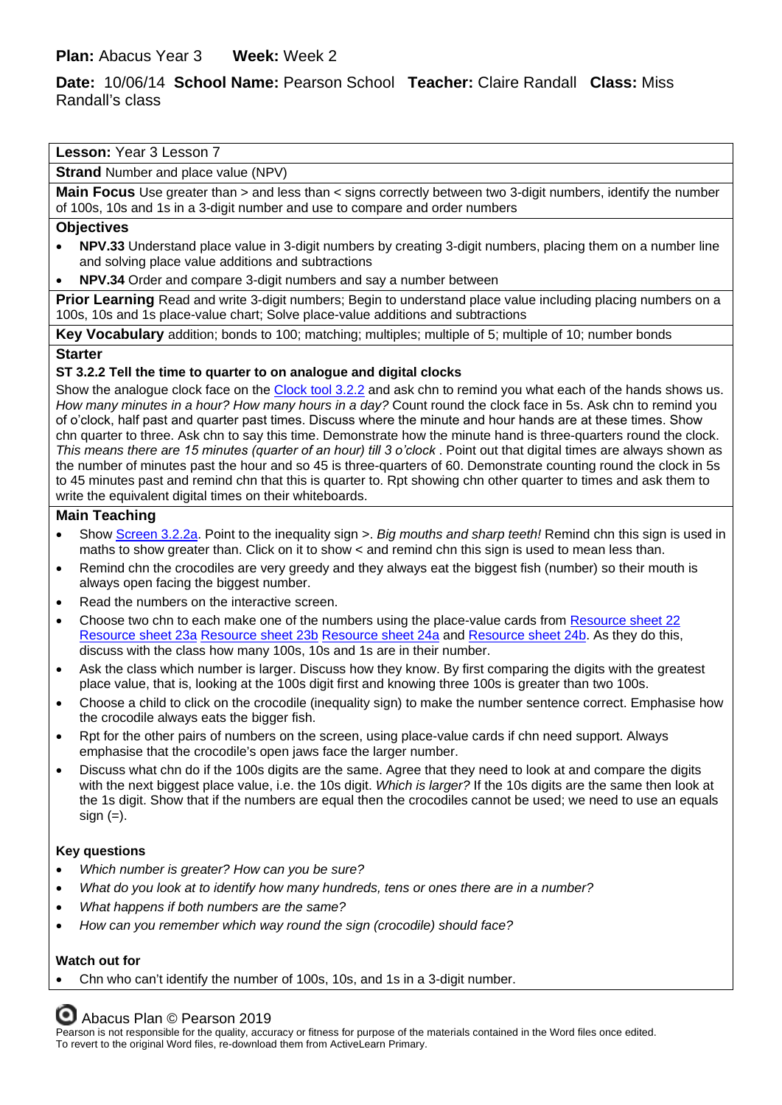# **Date:** 10/06/14 **School Name:** Pearson School **Teacher:** Claire Randall **Class:** Miss Randall's class

## **Lesson:** Year 3 Lesson 7

**Strand** Number and place value (NPV)

**Main Focus** Use greater than > and less than < signs correctly between two 3-digit numbers, identify the number of 100s, 10s and 1s in a 3-digit number and use to compare and order numbers

#### **Objectives**

- **NPV.33** Understand place value in 3-digit numbers by creating 3-digit numbers, placing them on a number line and solving place value additions and subtractions
- **NPV.34** Order and compare 3-digit numbers and say a number between

**Prior Learning** Read and write 3-digit numbers; Begin to understand place value including placing numbers on a 100s, 10s and 1s place-value chart; Solve place-value additions and subtractions

**Key Vocabulary** addition; bonds to 100; matching; multiples; multiple of 5; multiple of 10; number bonds

### **Starter**

### **ST 3.2.2 Tell the time to quarter to on analogue and digital clocks**

Show the analogue clock face on the [Clock tool 3.2.2](https://www.activelearnprimary.co.uk/resource/169370) and ask chn to remind you what each of the hands shows us. *How many minutes in a hour? How many hours in a day?* Count round the clock face in 5s. Ask chn to remind you of o'clock, half past and quarter past times. Discuss where the minute and hour hands are at these times. Show chn quarter to three. Ask chn to say this time. Demonstrate how the minute hand is three-quarters round the clock. *This means there are 15 minutes (quarter of an hour) till 3 o'clock* . Point out that digital times are always shown as the number of minutes past the hour and so 45 is three-quarters of 60. Demonstrate counting round the clock in 5s to 45 minutes past and remind chn that this is quarter to. Rpt showing chn other quarter to times and ask them to write the equivalent digital times on their whiteboards.

## **Main Teaching**

- Show [Screen 3.2.2a.](https://www.activelearnprimary.co.uk/resource/170016) Point to the inequality sign >. *Big mouths and sharp teeth!* Remind chn this sign is used in maths to show greater than. Click on it to show < and remind chn this sign is used to mean less than.
- Remind chn the crocodiles are very greedy and they always eat the biggest fish (number) so their mouth is always open facing the biggest number.
- Read the numbers on the interactive screen.
- Choose two chn to each make one of the numbers using the place-value cards from [Resource sheet 22](https://www.activelearnprimary.co.uk/resource/171336) [Resource sheet 23a](https://www.activelearnprimary.co.uk/resource/171337) [Resource sheet 23b](https://www.activelearnprimary.co.uk/resource/171340) [Resource sheet 24a](https://www.activelearnprimary.co.uk/resource/171341) and [Resource sheet 24b.](https://www.activelearnprimary.co.uk/resource/171342) As they do this, discuss with the class how many 100s, 10s and 1s are in their number.
- Ask the class which number is larger. Discuss how they know. By first comparing the digits with the greatest place value, that is, looking at the 100s digit first and knowing three 100s is greater than two 100s.
- Choose a child to click on the crocodile (inequality sign) to make the number sentence correct. Emphasise how the crocodile always eats the bigger fish.
- Rpt for the other pairs of numbers on the screen, using place-value cards if chn need support. Always emphasise that the crocodile's open jaws face the larger number.
- Discuss what chn do if the 100s digits are the same. Agree that they need to look at and compare the digits with the next biggest place value, i.e. the 10s digit. *Which is larger?* If the 10s digits are the same then look at the 1s digit. Show that if the numbers are equal then the crocodiles cannot be used; we need to use an equals sign  $(=)$ .

## **Key questions**

- *Which number is greater? How can you be sure?*
- *What do you look at to identify how many hundreds, tens or ones there are in a number?*
- *What happens if both numbers are the same?*
- *How can you remember which way round the sign (crocodile) should face?*

## **Watch out for**

• Chn who can't identify the number of 100s, 10s, and 1s in a 3-digit number.

Abacus Plan © Pearson 2019

Pearson is not responsible for the quality, accuracy or fitness for purpose of the materials contained in the Word files once edited. To revert to the original Word files, re-download them from ActiveLearn Primary.